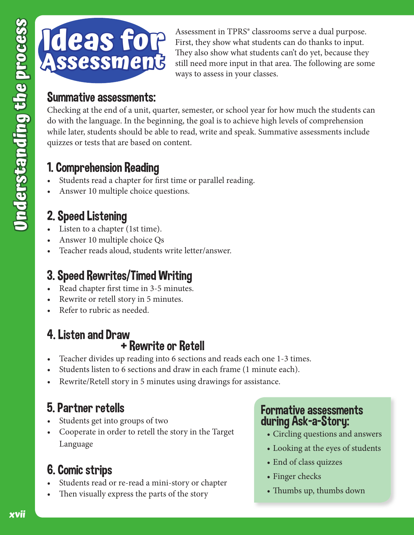

Assessment in TPRS® classrooms serve a dual purpose. First, they show what students can do thanks to input. They also show what students can't do yet, because they still need more input in that area. The following are some ways to assess in your classes.

#### Summative assessments:

Checking at the end of a unit, quarter, semester, or school year for how much the students can do with the language. In the beginning, the goal is to achieve high levels of comprehension while later, students should be able to read, write and speak. Summative assessments include quizzes or tests that are based on content.

#### 1. Comprehension Reading

- Students read a chapter for first time or parallel reading.
- Answer 10 multiple choice questions.

# 2. Speed Listening

- Listen to a chapter (1st time).
- Answer 10 multiple choice Qs
- Teacher reads aloud, students write letter/answer.

# 3. Speed Rewrites/Timed Writing

- Read chapter first time in 3-5 minutes.
- Rewrite or retell story in 5 minutes.
- Refer to rubric as needed.

#### 4. Listen and Draw + Rewrite or Retell

- Teacher divides up reading into 6 sections and reads each one 1-3 times.
- Students listen to 6 sections and draw in each frame (1 minute each).
- Rewrite/Retell story in 5 minutes using drawings for assistance.

## 5. Partner retells

- Students get into groups of two
- Cooperate in order to retell the story in the Target Language

## 6. Comic strips

- Students read or re-read a mini-story or chapter
- Then visually express the parts of the story

#### Formative assessments during Ask-a-Story:

- Circling questions and answers
- Looking at the eyes of students
- End of class quizzes
- Finger checks
- Thumbs up, thumbs down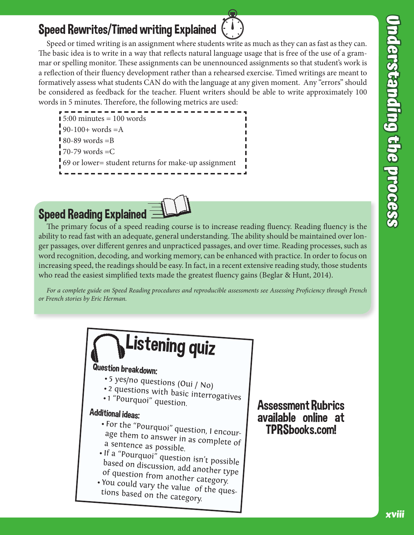#### Speed Rewrites/Timed writing Explained

Speed or timed writing is an assignment where students write as much as they can as fast as they can. The basic idea is to write in a way that reflects natural language usage that is free of the use of a grammar or spelling monitor. These assignments can be unennounced assignments so that student's work is a reflection of their fluency development rather than a rehearsed exercise. Timed writings are meant to formatively assess what students CAN do with the language at any given moment. Any "errors" should be considered as feedback for the teacher. Fluent writers should be able to write approximately 100 words in 5 minutes. Therefore, the following metrics are used:

--------- $\blacksquare$  5:00 minutes = 100 words  $90-100+$  words = A  $\blacksquare$  80-89 words = B  $\overline{1}$  70-79 words = C 69 or lower= student returns for make-up assignment



The primary focus of a speed reading course is to increase reading fluency. Reading fluency is the ability to read fast with an adequate, general understanding. The ability should be maintained over longer passages, over different genres and unpracticed passages, and over time. Reading processes, such as word recognition, decoding, and working memory, can be enhanced with practice. In order to focus on increasing speed, the readings should be easy. In fact, in a recent extensive reading study, those students who read the easiest simplified texts made the greatest fluency gains (Beglar & Hunt, 2014).

For a complete guide on Speed Reading procedures and reproducible assessments see Assessing Proficiency through French or French stories by Eric Herman.



Assessment Rubrics available online at TPRSbooks.com!